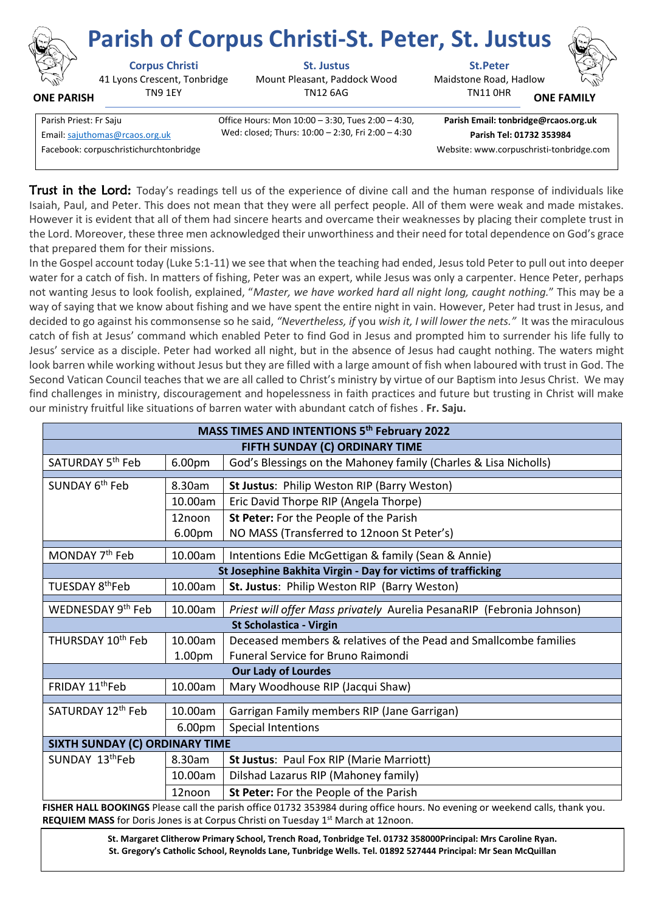|                                | Parish Of Corpus Christi-St. Peter, St. Justus |                                                   |                                                                  |                   |
|--------------------------------|------------------------------------------------|---------------------------------------------------|------------------------------------------------------------------|-------------------|
|                                | <b>Corpus Christi</b>                          | <b>St. Justus</b>                                 | <b>St.Peter</b>                                                  |                   |
| EN 1                           | 41 Lyons Crescent, Tonbridge                   | Mount Pleasant, Paddock Wood                      | Maidstone Road, Hadlow                                           |                   |
| <b>ONE PARISH</b>              | TN9 1FY                                        | <b>TN12 6AG</b>                                   | <b>TN11 0HR</b>                                                  | <b>ONE FAMILY</b> |
| Parish Priest: Fr Saju         |                                                | Office Hours: Mon 10:00 - 3:30, Tues 2:00 - 4:30, | Parish Email: tonbridge@rcaos.org.uk<br>Parish Tel: 01732 353984 |                   |
| Email: sajuthomas@rcaos.org.uk |                                                | Wed: closed; Thurs: 10:00 - 2:30, Fri 2:00 - 4:30 |                                                                  |                   |
|                                | Facebook: corpuschristichurchtonbridge         |                                                   | Website: www.corpuschristi-tonbridge.com                         |                   |

**Parish of Corpus Christi-St. Peter, St. Justus**

**Trust in the Lord:** Today's readings tell us of the experience of divine call and the human response of individuals like Isaiah, Paul, and Peter. This does not mean that they were all perfect people. All of them were weak and made mistakes. However it is evident that all of them had sincere hearts and overcame their weaknesses by placing their complete trust in the Lord. Moreover, these three men acknowledged their unworthiness and their need for total dependence on God's grace that prepared them for their missions.

In the Gospel account today (Luke 5:1-11) we see that when the teaching had ended, Jesus told Peter to pull out into deeper water for a catch of fish. In matters of fishing, Peter was an expert, while Jesus was only a carpenter. Hence Peter, perhaps not wanting Jesus to look foolish, explained, "*Master, we have worked hard all night long, caught nothing.*" This may be a way of saying that we know about fishing and we have spent the entire night in vain. However, Peter had trust in Jesus, and decided to go against his commonsense so he said, *"Nevertheless, if* you *wish it, I will lower the nets."* It was the miraculous catch of fish at Jesus' command which enabled Peter to find God in Jesus and prompted him to surrender his life fully to Jesus' service as a disciple. Peter had worked all night, but in the absence of Jesus had caught nothing. The waters might look barren while working without Jesus but they are filled with a large amount of fish when laboured with trust in God. The Second Vatican Council teaches that we are all called to Christ's ministry by virtue of our Baptism into Jesus Christ. We may find challenges in ministry, discouragement and hopelessness in faith practices and future but trusting in Christ will make our ministry fruitful like situations of barren water with abundant catch of fishes . **Fr. Saju.**

| <b>MASS TIMES AND INTENTIONS 5th February 2022</b>           |                                             |                                                                       |  |  |  |
|--------------------------------------------------------------|---------------------------------------------|-----------------------------------------------------------------------|--|--|--|
| FIFTH SUNDAY (C) ORDINARY TIME                               |                                             |                                                                       |  |  |  |
| SATURDAY 5 <sup>th</sup> Feb                                 | 6.00pm                                      | God's Blessings on the Mahoney family (Charles & Lisa Nicholls)       |  |  |  |
| SUNDAY 6 <sup>th</sup> Feb                                   | St Justus: Philip Weston RIP (Barry Weston) |                                                                       |  |  |  |
|                                                              | 8.30am<br>10.00am                           | Eric David Thorpe RIP (Angela Thorpe)                                 |  |  |  |
|                                                              | 12noon                                      |                                                                       |  |  |  |
|                                                              |                                             | St Peter: For the People of the Parish                                |  |  |  |
|                                                              | 6.00pm                                      | NO MASS (Transferred to 12noon St Peter's)                            |  |  |  |
| MONDAY 7 <sup>th</sup> Feb                                   | 10.00am                                     | Intentions Edie McGettigan & family (Sean & Annie)                    |  |  |  |
| St Josephine Bakhita Virgin - Day for victims of trafficking |                                             |                                                                       |  |  |  |
| TUESDAY 8thFeb                                               | 10.00am                                     | St. Justus: Philip Weston RIP (Barry Weston)                          |  |  |  |
| WEDNESDAY 9th Feb                                            | 10.00am                                     | Priest will offer Mass privately Aurelia PesanaRIP (Febronia Johnson) |  |  |  |
| <b>St Scholastica - Virgin</b>                               |                                             |                                                                       |  |  |  |
| THURSDAY 10 <sup>th</sup> Feb                                | 10.00am                                     | Deceased members & relatives of the Pead and Smallcombe families      |  |  |  |
|                                                              | 1.00pm                                      | Funeral Service for Bruno Raimondi                                    |  |  |  |
| <b>Our Lady of Lourdes</b>                                   |                                             |                                                                       |  |  |  |
| FRIDAY 11 <sup>th</sup> Feb                                  | 10.00am                                     | Mary Woodhouse RIP (Jacqui Shaw)                                      |  |  |  |
| SATURDAY 12 <sup>th</sup> Feb                                | 10.00am                                     |                                                                       |  |  |  |
|                                                              |                                             | Garrigan Family members RIP (Jane Garrigan)                           |  |  |  |
|                                                              | 6.00pm                                      | <b>Special Intentions</b>                                             |  |  |  |
| SIXTH SUNDAY (C) ORDINARY TIME                               |                                             |                                                                       |  |  |  |
| SUNDAY 13thFeb                                               | 8.30am                                      | St Justus: Paul Fox RIP (Marie Marriott)                              |  |  |  |
|                                                              | 10.00am                                     | Dilshad Lazarus RIP (Mahoney family)                                  |  |  |  |
|                                                              | 12noon                                      | St Peter: For the People of the Parish                                |  |  |  |

**FISHER HALL BOOKINGS** Please call the parish office 01732 353984 during office hours. No evening or weekend calls, thank you. **REQUIEM MASS** for Doris Jones is at Corpus Christi on Tuesday 1<sup>st</sup> March at 12noon.

> **St. Margaret Clitherow Primary School, Trench Road, Tonbridge Tel. 01732 358000Principal: Mrs Caroline Ryan. St. Gregory's Catholic School, Reynolds Lane, Tunbridge Wells. Tel. 01892 527444 Principal: Mr Sean McQuillan**